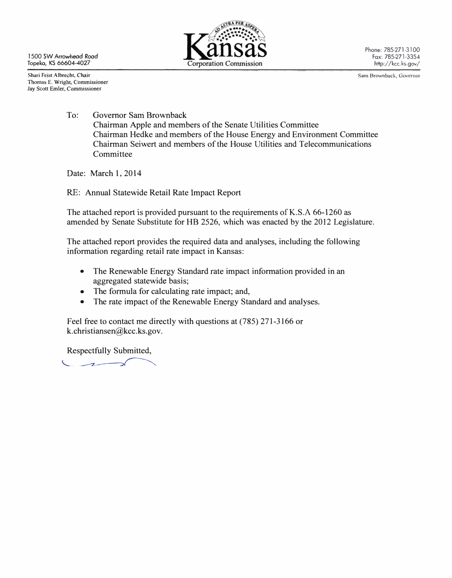1500 SW Arrowhead Rood Topeka, KS 66604·4027



Phone: 785·271-3100 Fox: 785·271·3354 http://kcc.ks.gov/

Shari Feist Albrecht, Chair Thomas E. Wright, Commissioner lay Scott Emler, Commissioner

Sam Brownback, Governor

To: Governor Sam Brownback Chairman Apple and members of the Senate Utilities Committee Chairman Hedke and members of the House Energy and Environment Committee Chairman Seiwert and members of the House Utilities and Telecommunications Committee

Date: March 1, 2014

RE: Annual Statewide Retail Rate Impact Report

The attached report is provided pursuant to the requirements of K.S.A 66-1260 as amended by Senate Substitute for HB 2526, which was enacted by the 2012 Legislature.

The attached report provides the required data and analyses, including the following information regarding retail rate impact in Kansas:

- The Renewable Energy Standard rate impact information provided in an aggregated statewide basis;
- The formula for calculating rate impact; and,
- The rate impact of the Renewable Energy Standard and analyses.

Feel free to contact me directly with questions at (785) 271-3166 or k.christiansen@kcc.ks.gov.

Respectfully Submitted,

 $\sim$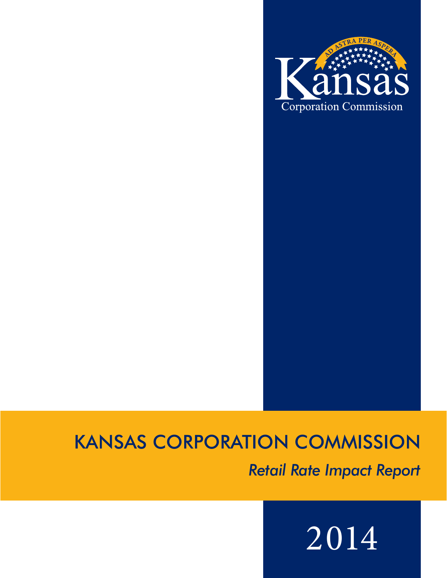

## KANSAS CORPORATION COMMISSION

*Retail Rate Impact Report*

# 2014